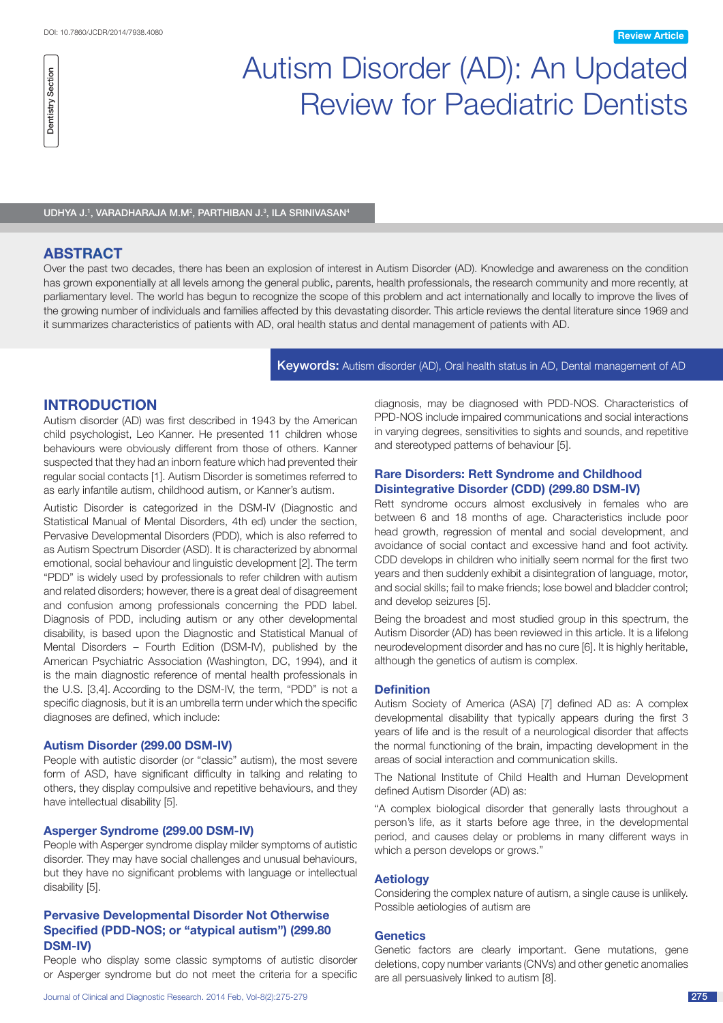# Autism Disorder (AD): An Updated Review for Paediatric Dentists

UDHYA J.<sup>1</sup>, VARADHARAJA M.M<sup>2</sup>, PARTHIBAN J.<sup>3</sup>, ILA SRINIVASAN<sup>4</sup>

## **ABSTRACT**

Dentistry Section

Dentistry Section

Over the past two decades, there has been an explosion of interest in Autism Disorder (AD). Knowledge and awareness on the condition has grown exponentially at all levels among the general public, parents, health professionals, the research community and more recently, at parliamentary level. The world has begun to recognize the scope of this problem and act internationally and locally to improve the lives of the growing number of individuals and families affected by this devastating disorder. This article reviews the dental literature since 1969 and it summarizes characteristics of patients with AD, oral health status and dental management of patients with AD.

Keywords: Autism disorder (AD), Oral health status in AD, Dental management of AD

## **Introduction**

Autism disorder (AD) was first described in 1943 by the American child psychologist, Leo Kanner. He presented 11 children whose behaviours were obviously different from those of others. Kanner suspected that they had an inborn feature which had prevented their regular social contacts [1]. Autism Disorder is sometimes referred to as early infantile autism, childhood autism, or Kanner's autism.

Autistic Disorder is categorized in the DSM-IV (Diagnostic and Statistical Manual of Mental Disorders, 4th ed) under the section, Pervasive Developmental Disorders (PDD), which is also referred to as Autism Spectrum Disorder (ASD). It is characterized by abnormal emotional, social behaviour and linguistic development [2]. The term "PDD" is widely used by professionals to refer children with autism and related disorders; however, there is a great deal of disagreement and confusion among professionals concerning the PDD label. Diagnosis of PDD, including autism or any other developmental disability, is based upon the Diagnostic and Statistical Manual of Mental Disorders – Fourth Edition (DSM-IV), published by the American Psychiatric Association (Washington, DC, 1994), and it is the main diagnostic reference of mental health professionals in the U.S. [3,4]. According to the DSM-IV, the term, "PDD" is not a specific diagnosis, but it is an umbrella term under which the specific diagnoses are defined, which include:

## **Autism Disorder (299.00 DSM-IV)**

People with autistic disorder (or "classic" autism), the most severe form of ASD, have significant difficulty in talking and relating to others, they display compulsive and repetitive behaviours, and they have intellectual disability [5].

#### **Asperger Syndrome (299.00 DSM-IV)**

People with Asperger syndrome display milder symptoms of autistic disorder. They may have social challenges and unusual behaviours, but they have no significant problems with language or intellectual disability [5].

## **Pervasive Developmental Disorder Not Otherwise Specified (PDD-NOS; or "atypical autism") (299.80 DSM-IV)**

People who display some classic symptoms of autistic disorder or Asperger syndrome but do not meet the criteria for a specific diagnosis, may be diagnosed with PDD-NOS. Characteristics of PPD-NOS include impaired communications and social interactions in varying degrees, sensitivities to sights and sounds, and repetitive and stereotyped patterns of behaviour [5].

## **Rare Disorders: Rett Syndrome and Childhood Disintegrative Disorder (CDD) (299.80 DSM-IV)**

Rett syndrome occurs almost exclusively in females who are between 6 and 18 months of age. Characteristics include poor head growth, regression of mental and social development, and avoidance of social contact and excessive hand and foot activity. CDD develops in children who initially seem normal for the first two years and then suddenly exhibit a disintegration of language, motor, and social skills; fail to make friends; lose bowel and bladder control; and develop seizures [5].

Being the broadest and most studied group in this spectrum, the Autism Disorder (AD) has been reviewed in this article. It is a lifelong neurodevelopment disorder and has no cure [6]. It is highly heritable, although the genetics of autism is complex.

## **Definition**

Autism Society of America (ASA) [7] defined AD as: A complex developmental disability that typically appears during the first 3 years of life and is the result of a neurological disorder that affects the normal functioning of the brain, impacting development in the areas of social interaction and communication skills.

The National Institute of Child Health and Human Development defined Autism Disorder (AD) as:

"A complex biological disorder that generally lasts throughout a person's life, as it starts before age three, in the developmental period, and causes delay or problems in many different ways in which a person develops or grows."

#### **Aetiology**

Considering the complex nature of autism, a single cause is unlikely. Possible aetiologies of autism are

#### **Genetics**

Genetic factors are clearly important. Gene mutations, gene deletions, copy number variants (CNVs) and other genetic anomalies are all persuasively linked to autism [8].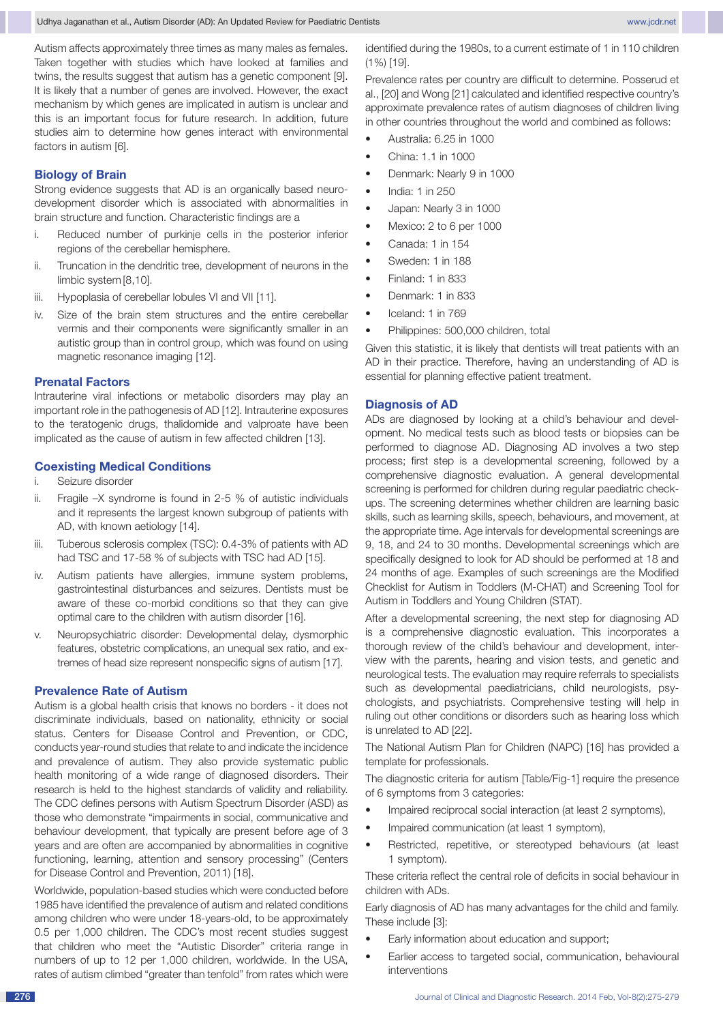Autism affects approximately three times as many males as females. Taken together with studies which have looked at families and twins, the results suggest that autism has a genetic component [9]. It is likely that a number of genes are involved. However, the exact mechanism by which genes are implicated in autism is unclear and this is an important focus for future research. In addition, future studies aim to determine how genes interact with environmental factors in autism [6].

## **Biology of Brain**

Strong evidence suggests that AD is an organically based neurodevelopment disorder which is associated with abnormalities in brain structure and function. Characteristic findings are a

- i. Reduced number of purkinje cells in the posterior inferior regions of the cerebellar hemisphere.
- ii. Truncation in the dendritic tree, development of neurons in the limbic system [8,10].
- iii. Hypoplasia of cerebellar lobules VI and VII [11].
- iv. Size of the brain stem structures and the entire cerebellar vermis and their components were significantly smaller in an autistic group than in control group, which was found on using magnetic resonance imaging [12].

#### **Prenatal Factors**

Intrauterine viral infections or metabolic disorders may play an important role in the pathogenesis of AD [12]. Intrauterine exposures to the teratogenic drugs, thalidomide and valproate have been implicated as the cause of autism in few affected children [13].

## **Coexisting Medical Conditions**

- i. Seizure disorder
- ii. Fragile –X syndrome is found in 2-5 % of autistic individuals and it represents the largest known subgroup of patients with AD, with known aetiology [14].
- iii. Tuberous sclerosis complex (TSC): 0.4-3% of patients with AD had TSC and 17-58 % of subjects with TSC had AD [15].
- iv. Autism patients have allergies, immune system problems, gastrointestinal disturbances and seizures. Dentists must be aware of these co-morbid conditions so that they can give optimal care to the children with autism disorder [16].
- v. Neuropsychiatric disorder: Developmental delay, dysmorphic features, obstetric complications, an unequal sex ratio, and extremes of head size represent nonspecific signs of autism [17].

#### **Prevalence Rate of Autism**

Autism is a global health crisis that knows no borders - it does not discriminate individuals, based on nationality, ethnicity or social status. Centers for Disease Control and Prevention, or CDC, conducts year-round studies that relate to and indicate the incidence and prevalence of autism. They also provide systematic public health monitoring of a wide range of diagnosed disorders. Their research is held to the highest standards of validity and reliability. The CDC defines persons with Autism Spectrum Disorder (ASD) as those who demonstrate "impairments in social, communicative and behaviour development, that typically are present before age of 3 years and are often are accompanied by abnormalities in cognitive functioning, learning, attention and sensory processing" (Centers for Disease Control and Prevention, 2011) [18].

Worldwide, population-based studies which were conducted before 1985 have identified the prevalence of autism and related conditions among children who were under 18-years-old, to be approximately 0.5 per 1,000 children. The CDC's most recent studies suggest that children who meet the "Autistic Disorder" criteria range in numbers of up to 12 per 1,000 children, worldwide. In the USA, rates of autism climbed "greater than tenfold" from rates which were

identified during the 1980s, to a current estimate of 1 in 110 children (1%) [19].

Prevalence rates per country are difficult to determine. Posserud et al., [20] and Wong [21] calculated and identified respective country's approximate prevalence rates of autism diagnoses of children living in other countries throughout the world and combined as follows:

- Australia: 6.25 in 1000
- • China: 1.1 in 1000
- Denmark: Nearly 9 in 1000
- • India: 1 in 250
- Japan: Nearly 3 in 1000
	- Mexico: 2 to 6 per 1000
- • Canada: 1 in 154
- Sweden: 1 in 188
- Finland: 1 in 833
- • Denmark: 1 in 833
- Iceland: 1 in 769
- Philippines: 500,000 children, total

Given this statistic, it is likely that dentists will treat patients with an AD in their practice. Therefore, having an understanding of AD is essential for planning effective patient treatment.

#### **Diagnosis of AD**

ADs are diagnosed by looking at a child's behaviour and development. No medical tests such as blood tests or biopsies can be performed to diagnose AD. Diagnosing AD involves a two step process; first step is a developmental screening, followed by a comprehensive diagnostic evaluation. A general developmental screening is performed for children during regular paediatric checkups. The screening determines whether children are learning basic skills, such as learning skills, speech, behaviours, and movement, at the appropriate time. Age intervals for developmental screenings are 9, 18, and 24 to 30 months. Developmental screenings which are specifically designed to look for AD should be performed at 18 and 24 months of age. Examples of such screenings are the Modified Checklist for Autism in Toddlers (M-CHAT) and Screening Tool for Autism in Toddlers and Young Children (STAT).

After a developmental screening, the next step for diagnosing AD is a comprehensive diagnostic evaluation. This incorporates a thorough review of the child's behaviour and development, interview with the parents, hearing and vision tests, and genetic and neurological tests. The evaluation may require referrals to specialists such as developmental paediatricians, child neurologists, psychologists, and psychiatrists. Comprehensive testing will help in ruling out other conditions or disorders such as hearing loss which is unrelated to AD [22].

The National Autism Plan for Children (NAPC) [16] has provided a template for professionals.

The diagnostic criteria for autism [Table/Fig-1] require the presence of 6 symptoms from 3 categories:

- Impaired reciprocal social interaction (at least 2 symptoms),
- Impaired communication (at least 1 symptom),
- Restricted, repetitive, or stereotyped behaviours (at least 1 symptom).

These criteria reflect the central role of deficits in social behaviour in children with ADs.

Early diagnosis of AD has many advantages for the child and family. These include [3]:

- Early information about education and support;
- Earlier access to targeted social, communication, behavioural interventions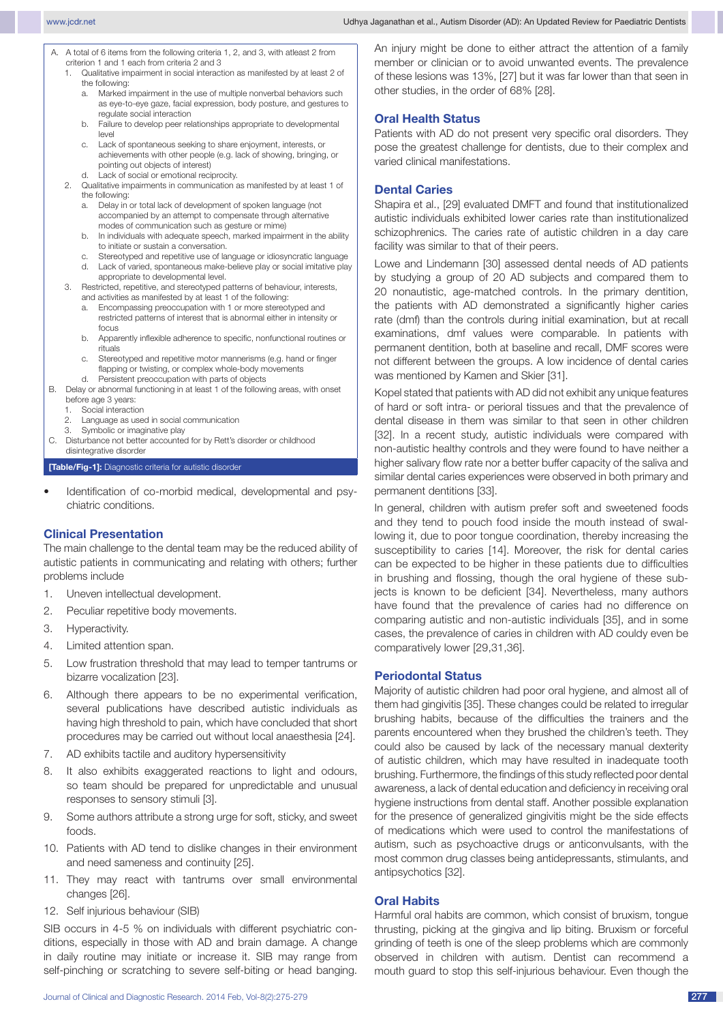- A. A total of 6 items from the following criteria 1, 2, and 3, with atleast 2 from criterion 1 and 1 each from criteria 2 and 3
	- 1. Qualitative impairment in social interaction as manifested by at least 2 of the following:
		- a. Marked impairment in the use of multiple nonverbal behaviors such as eye-to-eye gaze, facial expression, body posture, and gestures to regulate social interaction
		- b. Failure to develop peer relationships appropriate to developmental level
		- c. Lack of spontaneous seeking to share enjoyment, interests, or achievements with other people (e.g. lack of showing, bringing, or pointing out objects of interest)
		- d. Lack of social or emotional reciprocity.
	- 2. Qualitative impairments in communication as manifested by at least 1 of the following:
		- a. Delay in or total lack of development of spoken language (not accompanied by an attempt to compensate through alternative modes of communication such as gesture or mime)
		- b. In individuals with adequate speech, marked impairment in the ability to initiate or sustain a conversation.
		- c. Stereotyped and repetitive use of language or idiosyncratic language
		- d. Lack of varied, spontaneous make-believe play or social imitative play appropriate to developmental level.
	- 3. Restricted, repetitive, and stereotyped patterns of behaviour, interests, and activities as manifested by at least 1 of the following:
		- a. Encompassing preoccupation with 1 or more stereotyped and restricted patterns of interest that is abnormal either in intensity or focus
		- b. Apparently inflexible adherence to specific, nonfunctional routines or rituals
		- c. Stereotyped and repetitive motor mannerisms (e.g. hand or finger flapping or twisting, or complex whole-body movements
- d. Persistent preoccupation with parts of objects B. Delay or abnormal functioning in at least 1 of the following areas, with onset
	- before age 3 years:
	- 1. Social interaction<br>2. Language as use Language as used in social communication
	- 3. Symbolic or imaginative play
- C. Disturbance not better accounted for by Rett's disorder or childhood disintegrative disorder

**[Table/Fig-1]:** Diagnostic criteria for autistic disorder

Identification of co-morbid medical, developmental and psychiatric conditions.

## **Clinical Presentation**

The main challenge to the dental team may be the reduced ability of autistic patients in communicating and relating with others; further problems include

- 1. Uneven intellectual development.
- 2. Peculiar repetitive body movements.
- 3. Hyperactivity.
- 4. Limited attention span.
- 5. Low frustration threshold that may lead to temper tantrums or bizarre vocalization [23].
- 6. Although there appears to be no experimental verification, several publications have described autistic individuals as having high threshold to pain, which have concluded that short procedures may be carried out without local anaesthesia [24].
- 7. AD exhibits tactile and auditory hypersensitivity
- 8. It also exhibits exaggerated reactions to light and odours, so team should be prepared for unpredictable and unusual responses to sensory stimuli [3].
- 9. Some authors attribute a strong urge for soft, sticky, and sweet foods.
- 10. Patients with AD tend to dislike changes in their environment and need sameness and continuity [25].
- 11. They may react with tantrums over small environmental changes [26].
- 12. Self injurious behaviour (SIB)

SIB occurs in 4-5 % on individuals with different psychiatric conditions, especially in those with AD and brain damage. A change in daily routine may initiate or increase it. SIB may range from self-pinching or scratching to severe self-biting or head banging.

An injury might be done to either attract the attention of a family member or clinician or to avoid unwanted events. The prevalence of these lesions was 13%, [27] but it was far lower than that seen in other studies, in the order of 68% [28].

## **Oral Health Status**

Patients with AD do not present very specific oral disorders. They pose the greatest challenge for dentists, due to their complex and varied clinical manifestations.

#### **Dental Caries**

Shapira et al., [29] evaluated DMFT and found that institutionalized autistic individuals exhibited lower caries rate than institutionalized schizophrenics. The caries rate of autistic children in a day care facility was similar to that of their peers.

Lowe and Lindemann [30] assessed dental needs of AD patients by studying a group of 20 AD subjects and compared them to 20 nonautistic, age-matched controls. In the primary dentition, the patients with AD demonstrated a significantly higher caries rate (dmf) than the controls during initial examination, but at recall examinations, dmf values were comparable. In patients with permanent dentition, both at baseline and recall, DMF scores were not different between the groups. A low incidence of dental caries was mentioned by Kamen and Skier [31].

Kopel stated that patients with AD did not exhibit any unique features of hard or soft intra- or perioral tissues and that the prevalence of dental disease in them was similar to that seen in other children [32]. In a recent study, autistic individuals were compared with non-autistic healthy controls and they were found to have neither a higher salivary flow rate nor a better buffer capacity of the saliva and similar dental caries experiences were observed in both primary and permanent dentitions [33].

In general, children with autism prefer soft and sweetened foods and they tend to pouch food inside the mouth instead of swallowing it, due to poor tongue coordination, thereby increasing the susceptibility to caries [14]. Moreover, the risk for dental caries can be expected to be higher in these patients due to difficulties in brushing and flossing, though the oral hygiene of these subjects is known to be deficient [34]. Nevertheless, many authors have found that the prevalence of caries had no difference on comparing autistic and non-autistic individuals [35], and in some cases, the prevalence of caries in children with AD couldy even be comparatively lower [29,31,36].

## **Periodontal Status**

Majority of autistic children had poor oral hygiene, and almost all of them had gingivitis [35]. These changes could be related to irregular brushing habits, because of the difficulties the trainers and the parents encountered when they brushed the children's teeth. They could also be caused by lack of the necessary manual dexterity of autistic children, which may have resulted in inadequate tooth brushing. Furthermore, the findings of this study reflected poor dental awareness, a lack of dental education and deficiency in receiving oral hygiene instructions from dental staff. Another possible explanation for the presence of generalized gingivitis might be the side effects of medications which were used to control the manifestations of autism, such as psychoactive drugs or anticonvulsants, with the most common drug classes being antidepressants, stimulants, and antipsychotics [32].

## **Oral Habits**

Harmful oral habits are common, which consist of bruxism, tongue thrusting, picking at the gingiva and lip biting. Bruxism or forceful grinding of teeth is one of the sleep problems which are commonly observed in children with autism. Dentist can recommend a mouth guard to stop this self-injurious behaviour. Even though the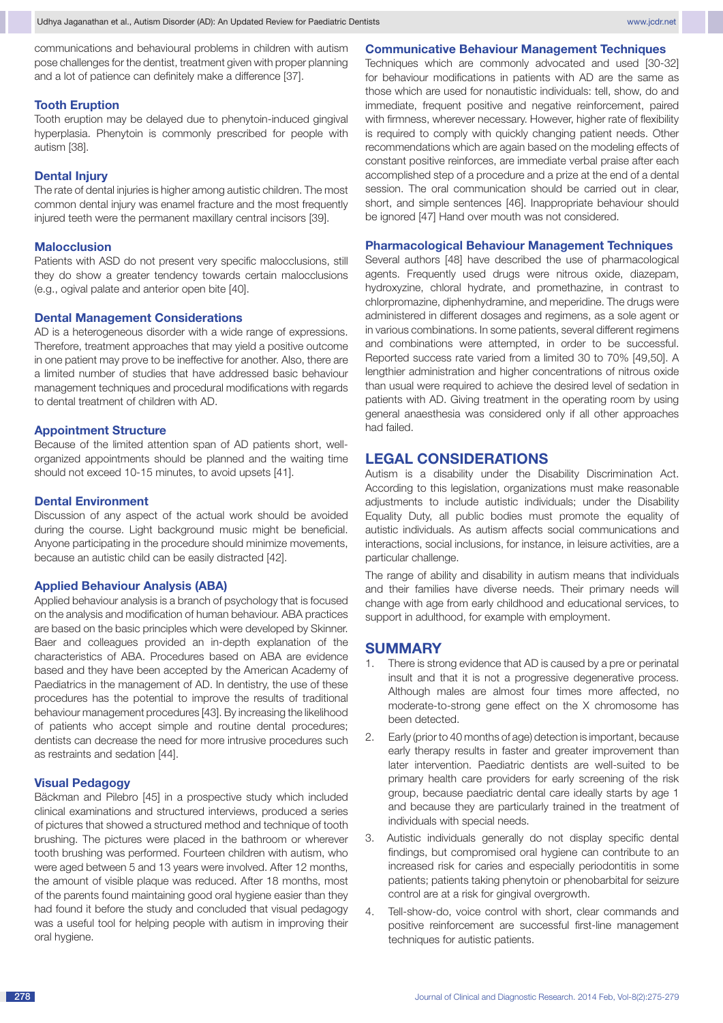communications and behavioural problems in children with autism pose challenges for the dentist, treatment given with proper planning and a lot of patience can definitely make a difference [37].

#### **Tooth Eruption**

Tooth eruption may be delayed due to phenytoin-induced gingival hyperplasia. Phenytoin is commonly prescribed for people with autism [38].

#### **Dental Injury**

The rate of dental injuries is higher among autistic children. The most common dental injury was enamel fracture and the most frequently injured teeth were the permanent maxillary central incisors [39].

#### **Malocclusion**

Patients with ASD do not present very specific malocclusions, still they do show a greater tendency towards certain malocclusions (e.g., ogival palate and anterior open bite [40].

#### **Dental Management Considerations**

AD is a heterogeneous disorder with a wide range of expressions. Therefore, treatment approaches that may yield a positive outcome in one patient may prove to be ineffective for another. Also, there are a limited number of studies that have addressed basic behaviour management techniques and procedural modifications with regards to dental treatment of children with AD.

#### **Appointment Structure**

Because of the limited attention span of AD patients short, wellorganized appointments should be planned and the waiting time should not exceed 10-15 minutes, to avoid upsets [41].

#### **Dental Environment**

Discussion of any aspect of the actual work should be avoided during the course. Light background music might be beneficial. Anyone participating in the procedure should minimize movements, because an autistic child can be easily distracted [42].

#### **Applied Behaviour Analysis (ABA)**

Applied behaviour analysis is a branch of psychology that is focused on the analysis and modification of human behaviour. ABA practices are based on the basic principles which were developed by Skinner. Baer and colleagues provided an in-depth explanation of the characteristics of ABA. Procedures based on ABA are evidence based and they have been accepted by the American Academy of Paediatrics in the management of AD. In dentistry, the use of these procedures has the potential to improve the results of traditional behaviour management procedures [43]. By increasing the likelihood of patients who accept simple and routine dental procedures; dentists can decrease the need for more intrusive procedures such as restraints and sedation [44].

#### **Visual Pedagogy**

Bäckman and Pilebro [45] in a prospective study which included clinical examinations and structured interviews, produced a series of pictures that showed a structured method and technique of tooth brushing. The pictures were placed in the bathroom or wherever tooth brushing was performed. Fourteen children with autism, who were aged between 5 and 13 years were involved. After 12 months, the amount of visible plaque was reduced. After 18 months, most of the parents found maintaining good oral hygiene easier than they had found it before the study and concluded that visual pedagogy was a useful tool for helping people with autism in improving their oral hygiene.

**Communicative Behaviour Management Techniques**

Techniques which are commonly advocated and used [30-32] for behaviour modifications in patients with AD are the same as those which are used for nonautistic individuals: tell, show, do and immediate, frequent positive and negative reinforcement, paired with firmness, wherever necessary. However, higher rate of flexibility is required to comply with quickly changing patient needs. Other recommendations which are again based on the modeling effects of constant positive reinforces, are immediate verbal praise after each accomplished step of a procedure and a prize at the end of a dental session. The oral communication should be carried out in clear, short, and simple sentences [46]. Inappropriate behaviour should be ignored [47] Hand over mouth was not considered.

## **Pharmacological Behaviour Management Techniques**

Several authors [48] have described the use of pharmacological agents. Frequently used drugs were nitrous oxide, diazepam, hydroxyzine, chloral hydrate, and promethazine, in contrast to chlorpromazine, diphenhydramine, and meperidine. The drugs were administered in different dosages and regimens, as a sole agent or in various combinations. In some patients, several different regimens and combinations were attempted, in order to be successful. Reported success rate varied from a limited 30 to 70% [49,50]. A lengthier administration and higher concentrations of nitrous oxide than usual were required to achieve the desired level of sedation in patients with AD. Giving treatment in the operating room by using general anaesthesia was considered only if all other approaches had failed.

## **Legal considerations**

Autism is a disability under the Disability Discrimination Act. According to this legislation, organizations must make reasonable adjustments to include autistic individuals; under the Disability Equality Duty, all public bodies must promote the equality of autistic individuals. As autism affects social communications and interactions, social inclusions, for instance, in leisure activities, are a particular challenge.

The range of ability and disability in autism means that individuals and their families have diverse needs. Their primary needs will change with age from early childhood and educational services, to support in adulthood, for example with employment.

## **Summary**

- 1. There is strong evidence that AD is caused by a pre or perinatal insult and that it is not a progressive degenerative process. Although males are almost four times more affected, no moderate-to-strong gene effect on the X chromosome has been detected.
- 2. Early (prior to 40 months of age) detection is important, because early therapy results in faster and greater improvement than later intervention. Paediatric dentists are well-suited to be primary health care providers for early screening of the risk group, because paediatric dental care ideally starts by age 1 and because they are particularly trained in the treatment of individuals with special needs.
- 3. Autistic individuals generally do not display specific dental findings, but compromised oral hygiene can contribute to an increased risk for caries and especially periodontitis in some patients; patients taking phenytoin or phenobarbital for seizure control are at a risk for gingival overgrowth.
- 4. Tell-show-do, voice control with short, clear commands and positive reinforcement are successful first-line management techniques for autistic patients.